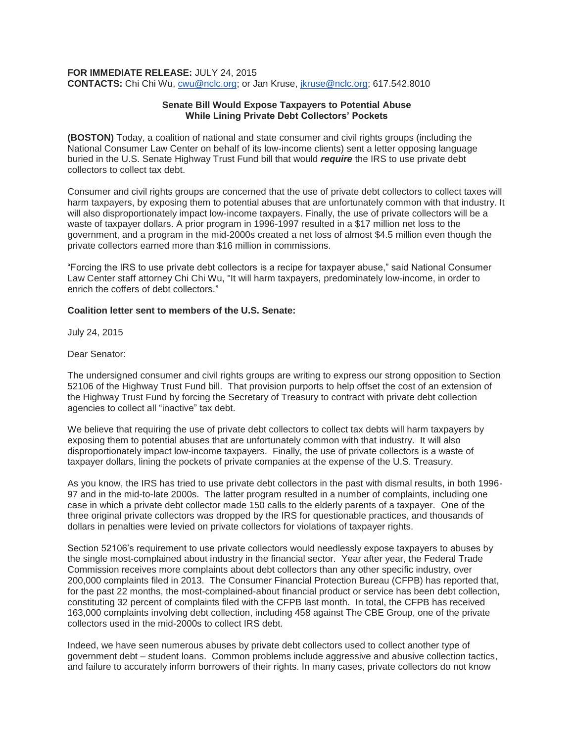#### **FOR IMMEDIATE RELEASE:** JULY 24, 2015

**CONTACTS:** Chi Chi Wu, [cwu@nclc.org;](mailto:cwu@nclc.org) or Jan Kruse, [jkruse@nclc.org;](mailto:jkruse@nclc.org) 617.542.8010

# **Senate Bill Would Expose Taxpayers to Potential Abuse While Lining Private Debt Collectors' Pockets**

**(BOSTON)** Today, a coalition of national and state consumer and civil rights groups (including the National Consumer Law Center on behalf of its low-income clients) sent a letter opposing language buried in the U.S. Senate Highway Trust Fund bill that would *require* the IRS to use private debt collectors to collect tax debt.

Consumer and civil rights groups are concerned that the use of private debt collectors to collect taxes will harm taxpayers, by exposing them to potential abuses that are unfortunately common with that industry. It will also disproportionately impact low-income taxpayers. Finally, the use of private collectors will be a waste of taxpayer dollars. A prior program in 1996-1997 resulted in a \$17 million net loss to the government, and a program in the mid-2000s created a net loss of almost \$4.5 million even though the private collectors earned more than \$16 million in commissions.

"Forcing the IRS to use private debt collectors is a recipe for taxpayer abuse," said National Consumer Law Center staff attorney Chi Chi Wu, "It will harm taxpayers, predominately low-income, in order to enrich the coffers of debt collectors."

## **Coalition letter sent to members of the U.S. Senate:**

July 24, 2015

#### Dear Senator:

The undersigned consumer and civil rights groups are writing to express our strong opposition to Section 52106 of the Highway Trust Fund bill. That provision purports to help offset the cost of an extension of the Highway Trust Fund by forcing the Secretary of Treasury to contract with private debt collection agencies to collect all "inactive" tax debt.

We believe that requiring the use of private debt collectors to collect tax debts will harm taxpayers by exposing them to potential abuses that are unfortunately common with that industry. It will also disproportionately impact low-income taxpayers. Finally, the use of private collectors is a waste of taxpayer dollars, lining the pockets of private companies at the expense of the U.S. Treasury.

As you know, the IRS has tried to use private debt collectors in the past with dismal results, in both 1996- 97 and in the mid-to-late 2000s. The latter program resulted in a number of complaints, including one case in which a private debt collector made 150 calls to the elderly parents of a taxpayer. One of the three original private collectors was dropped by the IRS for questionable practices, and thousands of dollars in penalties were levied on private collectors for violations of taxpayer rights.

Section 52106's requirement to use private collectors would needlessly expose taxpayers to abuses by the single most-complained about industry in the financial sector. Year after year, the Federal Trade Commission receives more complaints about debt collectors than any other specific industry, over 200,000 complaints filed in 2013. The Consumer Financial Protection Bureau (CFPB) has reported that, for the past 22 months, the most-complained-about financial product or service has been debt collection, constituting 32 percent of complaints filed with the CFPB last month. In total, the CFPB has received 163,000 complaints involving debt collection, including 458 against The CBE Group, one of the private collectors used in the mid-2000s to collect IRS debt.

Indeed, we have seen numerous abuses by private debt collectors used to collect another type of government debt – student loans. Common problems include aggressive and abusive collection tactics, and failure to accurately inform borrowers of their rights. In many cases, private collectors do not know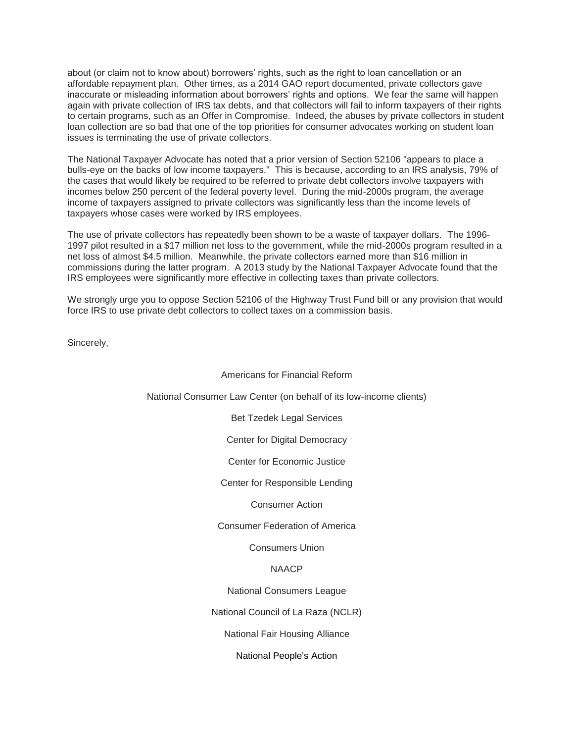about (or claim not to know about) borrowers' rights, such as the right to loan cancellation or an affordable repayment plan. Other times, as a 2014 GAO report documented, private collectors gave inaccurate or misleading information about borrowers' rights and options. We fear the same will happen again with private collection of IRS tax debts, and that collectors will fail to inform taxpayers of their rights to certain programs, such as an Offer in Compromise. Indeed, the abuses by private collectors in student loan collection are so bad that one of the top priorities for consumer advocates working on student loan issues is terminating the use of private collectors.

The National Taxpayer Advocate has noted that a prior version of Section 52106 "appears to place a bulls-eye on the backs of low income taxpayers." This is because, according to an IRS analysis, 79% of the cases that would likely be required to be referred to private debt collectors involve taxpayers with incomes below 250 percent of the federal poverty level. During the mid-2000s program, the average income of taxpayers assigned to private collectors was significantly less than the income levels of taxpayers whose cases were worked by IRS employees.

The use of private collectors has repeatedly been shown to be a waste of taxpayer dollars. The 1996- 1997 pilot resulted in a \$17 million net loss to the government, while the mid-2000s program resulted in a net loss of almost \$4.5 million. Meanwhile, the private collectors earned more than \$16 million in commissions during the latter program. A 2013 study by the National Taxpayer Advocate found that the IRS employees were significantly more effective in collecting taxes than private collectors.

We strongly urge you to oppose Section 52106 of the Highway Trust Fund bill or any provision that would force IRS to use private debt collectors to collect taxes on a commission basis.

Sincerely,

| Americans for Financial Reform                                     |
|--------------------------------------------------------------------|
| National Consumer Law Center (on behalf of its low-income clients) |
| <b>Bet Tzedek Legal Services</b>                                   |
| Center for Digital Democracy                                       |
| <b>Center for Economic Justice</b>                                 |
| Center for Responsible Lending                                     |
| <b>Consumer Action</b>                                             |
| <b>Consumer Federation of America</b>                              |
| <b>Consumers Union</b>                                             |
| NAACP                                                              |
| National Consumers League                                          |
| National Council of La Raza (NCLR)                                 |
| National Fair Housing Alliance                                     |
| National People's Action                                           |